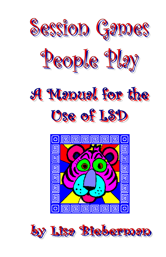

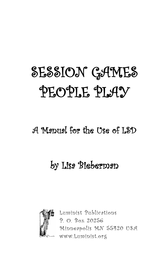# SESSION GAMES PEOPLE PLAY

### A Manual for the Use of LSD

## by Lisa Bieberman



Luminist Publications P. O. Box 20256 Minneapolis MN 55420 USA www.Luminist.org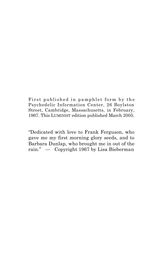First published in pamphlet form by the Psychedelic Information Center, 26 Boylston Street, Cambridge, Massachusetts, in February, 1967. This LUMINIST edition published March 2005.

"Dedicated with love to Frank Ferguson, who gave me my first morning glory seeds, and to Barbara Dunlap, who brought me in out of the rain." — Copyright 1967 by Lisa Bieberman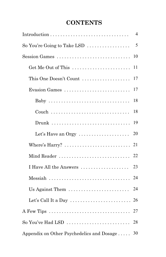### **CONTENTS**

|                                                                                | 4  |
|--------------------------------------------------------------------------------|----|
| So You're Going to Take LSD $\ldots$                                           | 5  |
| Session Games                                                                  | 10 |
| Get Me Out of This                                                             | 11 |
| This One Doesn't Count                                                         | 17 |
| Evasion Games                                                                  | 17 |
| Baby                                                                           | 18 |
|                                                                                | 18 |
|                                                                                | 19 |
| Let's Have an Orgy                                                             | 20 |
| Where's $\text{Harry?} \dots \dots \dots \dots \dots \dots \dots \dots$        | 21 |
| Mind Reader                                                                    | 22 |
| I Have All the Answers                                                         | 23 |
| $\text{Message } \dots \dots \dots \dots \dots \dots \dots \dots \dots \dots$  | 24 |
| Us Against Them                                                                | 24 |
| Let's Call It a Day $\dots\dots\dots\dots\dots\dots\dots\dots\dots$            | 26 |
| A Few Tips $\dots \dots \dots \dots \dots \dots \dots \dots \dots \dots \dots$ | 27 |
| So You've Had LSD $\dots\dots\dots\dots\dots\dots\dots\dots\dots\dots$         | 28 |
| Appendix on Other Psychedelics and Dosage                                      | 30 |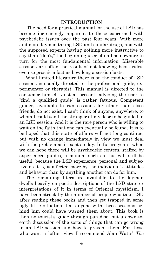#### **INTRODUCTION**

The need for a practical manual for the use of LSD has become increasingly apparent to those concerned with psychedelic issues over the past four years. With more and more laymen taking LSD and similar drugs, and with the supposed experts having nothing more instructive to say than "don't," the beginning user often has nowhere to turn for the most fundamental information. Miserable sessions are often the result of not knowing basic rules, even so prosaic a fact as how long a session lasts.

 What limited literature there is on the conduct of LSD sessions is usually directed to the professional guide, experimenter or therapist. This manual is directed to the consumer himself. Just at present, advising the user to "find a qualified guide" is rather fatuous. Competent guides, available to run sessions for other than close friends, do not exist. I can't think of anyone, anywhere, to whom I could send the stranger at my door to be guided in an LSD session. And it is the rare person who is willing to wait on the faith that one can eventually be found. It is to be hoped that this state of affairs will not long continue, but with no change immediately in view we must deal with the problem as it exists today. In future years, when we can hope there will be psychedelic centers, staffed by experienced guides, a manual such as this will still be useful, because the LSD experience, personal and subjective as it is, is affected more by the individual's attitudes and behavior than by anything another can do for him.

 The remaining literature available to the layman dwells heavily on poetic descriptions of the LSD state or interpretations of it in terms of Oriental mysticism. I have been struck by the number of people who take LSD after reading these books and then get trapped in some ugly little situation that anyone with three sessions behind him could have warned them about. This book is then no tourist's guide through paradise, but a down-toearth discussion of the sorts of things that can go wrong in an LSD session and how to prevent them. For those who want a loftier view I recommend Alan Watts' *The* 

4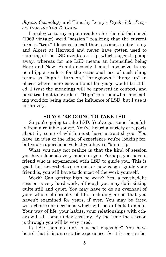*Joyous Cosmology* and Timothy Leary's *Psychedelic Prayers from the Tao Te Ching.*

 I apologize to my hippie readers for the old-fashioned (1963 vintage) word "session," realizing that the current term is "trip." I learned to call them sessions under Leary and Alpert at Harvard and never have gotten used to thinking of the LSD event as a trip, which suggests going away, whereas for me LSD means an intensified being Here and Now. Simultaneously I must apologize to my non-hippie readers for the occasional use of such slang terms as "high," "turn on," "bringdown," "hung up" in places where more conventional language would be stilted. I trust the meanings will be apparent in context, and have tried not to overdo it. "High" is a somewhat misleading word for being under the influence of LSD, but I use it for brevity.

#### **SO YOU'RE GOING TO TAKE LSD**

 So you're going to take LSD. You've got some, hopefully from a reliable source. You've heard a variety of reports about it, some of which must have attracted you. You have an idea of the kind of experience you're looking for, but you're apprehensive lest you have a "bum trip."

 What you may not realize is that the kind of session you have depends very much on you. Perhaps you have a friend who is experienced with LSD to guide you. This is good, but nevertheless, no matter how good a guide your friend is, you will have to do most of the work yourself.

 Work? Can getting high be work? Yes, a psychedelic session is very hard work, although you may do it sitting quite still and quiet. You may have to do an overhaul of your whole philosophy of life, including areas that you haven't examined for years, if ever. You may be faced with choices or decisions which will be difficult to make. Your way of life, your habits, your relationships with others will all come under scrutiny. By the time the session is through you will be very tired.

 Is LSD then no fun? Is it not enjoyable? You have heard that it is an ecstatic experience. So it is, or can be.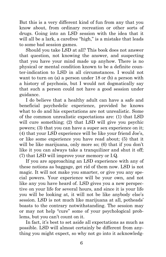But this is a very different kind of fun from any that you know about, from ordinary recreation or other sorts of drugs. Going into an LSD session with the idea that it will all be a lark, a carefree "high," is a mistake that leads to some bad session games.

 Should you take LSD at all? This book does not answer that question, not knowing the answer, and suspecting that you have your mind made up anyhow. There is no physical or mental condition known to be a definite counter-indication to LSD in all circumstances. I would not want to turn on (a) a person under 18 or (b) a person with a history of psychosis, but I would not dogmatically say that such a person could not have a good session under guidance.

 I do believe that a healthy adult can have a safe and beneficial psychedelic experience, provided he knows what to do and his expectations are not unrealistic. Some of the common unrealistic expectations are: (1) that LSD will cure something; (2) that LSD will give you psychic powers; (3) that you can have a super sex experience on it; (4) that your LSD experience will be like your friend Joe's, or like some experience you have read about; (5) that it will be like marijuana, only more so; (6) that if you don't like it you can always take a tranquilizer and shut it off; (7) that LSD will improve your memory or I.Q.

 If you are approaching an LSD experience with any of these notions as baggage, get rid of them now. LSD is not magic. It will not make you smarter, or give you any special powers. Your experience will be your own, and not like any you have heard of. LSD gives you a new perspective on your life for several hours, and since it is your life you will be looking at, it will not be like anybody else's session. LSD is not much like marijuana at all, potheads' boasts to the contrary notwithstanding. The session may or may not help "cure" some of your psychological problems, but you can't count on it.

 In fact, it's best to set aside all expectations as much as possible. LSD will almost certainly be different from anything you might expect, so why not go into it acknowledg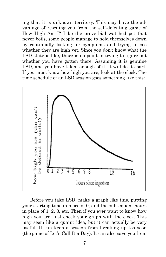ing that it is unknown territory. This may have the advantage of rescuing you from the self-defeating game of How High Am I? Like the proverbial watched pot that never boils, some people manage to hold themselves down by continually looking for symptoms and trying to see whether they are high yet. Since you don't know what the LSD state is like, there is no point in trying to figure out whether you have gotten there. Assuming it is genuine LSD, and you have taken enough of it, it will do its part. If you must know how high you are, look at the clock. The time schedule of an LSD session goes something like this:



Before you take LSD, make a graph like this, putting your starting time in place of 0, and the subsequent hours in place of 1, 2, 3, etc. Then if you ever want to know how high you are, just check your graph with the clock. This may seem like a quaint idea, but it can actually be very useful. It can keep a session from breaking up too soon (the game of Let's Call It a Day). It can also save you from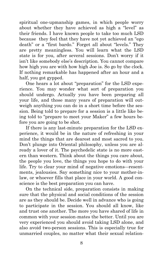spiritual one-upmanship games, in which people worry about whether they have achieved as high a "level" as their friends. I have known people to take too much LSD because they feel that they have not yet achieved an "ego death" or a "first bardo." Forget all about "levels." They are pretty meaningless. You will learn what the LSD state is for you, after several sessions. Don't worry if it isn't like somebody else's description. You cannot compare how high you are with how high Joe is. So go by the clock. If nothing remarkable has happened after an hour and a half, you got gypped.

 One hears a lot about "preparation" for the LSD experience. You may wonder what sort of preparation you should undergo. Actually you have been preparing all your life, and those many years of preparation will outweigh anything you can do in a short time before the session. Being told to prepare for a session is a little like being told to "prepare to meet your Maker" a few hours before you are going to be shot.

 If there is any last-minute preparation for the LSD experience, it would be in the nature of refreshing in your mind the things that are dearest and most sacred to you. Don't plunge into Oriental philosophy, unless you are already a lover of it. The psychedelic state is no more eastern than western. Think about the things you care about, the people you love, the things you hope to do with your life. Try to clear your mind of negative emotions —resentments, jealousies. Say something nice to your mother-inlaw, or whoever fills that place in your world. A good conscience is the best preparation you can have.

 On the technical side, preparation consists in making sure that the physical and social conditions of the session are as they should be. Decide well in advance who is going to participate in the session. You should all know, like and trust one another. The more you have shared of life in common with your session-mates the better. Until you are very experienced you should avoid taking LSD alone, and also avoid two-person sessions. This is especially true for unmarried couples, no matter what their sexual relation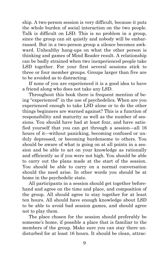ship. A two-person session is very difficult, because it puts the whole burden of social interaction on the two people. Talk is difficult on LSD. This is no problem in a group, since the group can sit quietly and nobody will be embarrassed. But in a two-person group a silence becomes awkward. Unhealthy hang-ups on what the other person is thinking and games of Mind Reader result. A relationship can be badly strained when two inexperienced people take LSD together. For your first several sessions stick to three or four member groups. Groups larger than five are to be avoided as to distracting.

 If none of you are experienced it is a good idea to have a friend along who does not take any LSD.

 Throughout this book there is frequent mention of being "experienced" in the use of psychedelics. When are you experienced enough to take LSD alone or to do the other things beginners are warned against? This is a function of responsibility and maturity as well as the number of sessions. You should have had at least four, and have satisfied yourself that you can get through a session—all 16 hours of it—without panicking, becoming confused or unduly depressed, or becoming burdensome to others. You should be aware of what is going on at all points in a session and be able to act on your knowledge as rationally and efficiently as if you were not high. You should be able to carry out the plans made at the start of the session. You should be able to carry on a normal conversation should the need arise. In other words you should be at home in the psychedelic state.

 All participants in a session should get together beforehand and agree on the time and place, and composition of the group. All should agree to stay together for at least ten hours. All should have enough knowledge about LSD to be able to avoid bad session games, and should agree not to play them.

 The place chosen for the session should preferably be someone's home, if possible a place that is familiar to the members of the group. Make sure you can stay there undisturbed for at least 16 hours. It should be clean, attrac-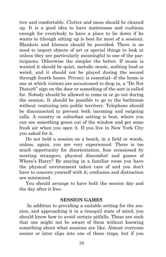tive and comfortable. Clutter and mess should be cleaned up. It is a good idea to have mattresses and cushions enough for everybody to have a place to lie down if he wants to (though sitting up is best for most of a session). Blankets and kleenex should be provided. There is no need to import objects of art or special things to look at unless they are particularly meaningful to one of the participants. Otherwise the simpler the better. If music is wanted it should be quiet, melodic music, nothing loud or weird, and it should not be played during the second through fourth hours. Privacy is essential—if the home is one at which visitors are accustomed to drop in, a "Do Not Disturb" sign on the door or something of the sort is called for. Nobody should be allowed to come in or go out during the session. It should be possible to go to the bathroom without venturing into public territory. Telephone should be disconnected to prevent both incoming and outgoing calls. A country or suburban setting is best, where you can see something green out of the window and get some fresh air when you open it. If you live in New York City you asked for it.

 Do not hold a session on a beach, in a field or woods, unless, again, you are very experienced. There is too much opportunity for disorientation, fear occasioned by meeting strangers, physical discomfort and games of Where's Harry? By staying in a familiar room you have the physical environment taken care of and you don't have to concern yourself with it; confusion and distraction are minimized.

 You should arrange to have both the session day and the day after it free.

#### **SESSION GAMES**

 In addition to providing a suitable setting for the session, and approaching it in a tranquil state of mind, you should know how to avoid certain pitfalls. These are such that one might not be aware of them without knowing something about what sessions are like. Almost everyone sooner or later slips into one of these traps, but if you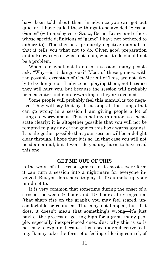have been told about them in advance you can get out quicker. I have called these things-to-be-avoided "Session Games" (with apologies to Szasz, Berne, Leary, and others whose specific definitions of "game" I have not bothered to adhere to). This then is a primarily negative manual, in that it tells you what not to do. Given good preparation and a knowledge of what not to do, what to do should not be a problem.

 When told what not to do in a session, many people ask, "Why —is it dangerous?" Most of these games, with the possible exception of Get Me Out of This, are not likely to be dangerous. I advise not playing them, not because they will hurt you, but because the session will probably be pleasanter and more rewarding if they are avoided.

 Some people will probably feel this manual is too negative. They will say that by discussing all the things that can go wrong in a session I am giving people a lot of things to worry about. That is not my intention, so let me state clearly: it is altogether possible that you will not be tempted to play any of the games this book warns against. It is altogether possible that your session will be a delight clear through. I hope that it is so. In that case you will not need a manual, but it won't do you any harm to have read this one.

#### **GET ME OUT OF THIS**

is the worst of all session games. In its most severe form it can turn a session into a nightmare for everyone involved. But you don't have to play it, if you make up your mind not to.

 It is very common that sometime during the onset of a session, between  $\frac{1}{2}$  hour and  $1\frac{1}{2}$  hours after ingestion (that sharp rise on the graph), you may feel scared, uncomfortable or confused. This may not happen, but if it does, it doesn't mean that something's wrong—it's just part of the process of getting high for a great many people, especially inexperienced ones. Just why this is so is not easy to explain, because it is a peculiar subjective feeling. It may take the form of a feeling of losing control, of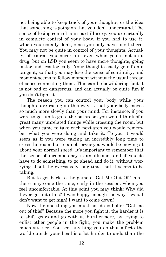not being able to keep track of your thoughts, or the idea that something is going on that you don't understand. The sense of losing control is in part illusory: you are actually in complete control of your body, if you had to use it, which you usually don't, since you only have to sit there. You may not be quite in control of your thoughts. Actually, of course, you never are, even when you're not on a drug, but on LSD you seem to have more thoughts, going faster and less logically. Your thoughts easily go off on a tangent, so that you may lose the sense of continuity, and moment seems to follow moment without the usual thread of sense connecting them. This can be bewildering, but it is not bad or dangerous, and can actually be quite fun if you don't fight it.

The reason you can control your body while your thoughts are racing on this way is that your body moves so much more slowly than your mind. For instance, if you were to get up to go to the bathroom you would think of a great many unrelated things while crossing the room, but when you came to take each next step you would remember what you were doing and take it. To you it would seem as if you were taking an incredibly long time to cross the room, but to an observer you would be moving at about your normal speed. It's important to remember that the sense of incompetency is an illusion, and if you do have to do something, to go ahead and do it, without worrying about the excessively long time that it seems to be taking.

But to get back to the game of Get Me Out Of This there may come the time, early in the session, when you feel uncomfortable. At this point you may think: Why did I ever get into this? I was happy enough the way I was. I don't want to get high! I want to come down!

Now the one thing you must not do is holler "Get me out of this!" Because the more you fight it, the harder it is to shift gears and go with it. Furthermore, by trying to enlist other people in the fight, you make the problem much stickier. You see, anything you do that affects the world outside your head is a lot harder to undo than the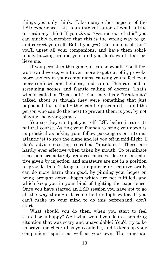things you only think. (Like many other aspects of the LSD experience, this is an intensification of what is true in "ordinary" life.) If you *think* "Get me out of this" you can quickly remember that this is the wrong way to go, and correct yourself. But if you *yell* "Get me out of this!" you'll upset all your companions, and have them solicitously buzzing around you —and you don't want that, believe me.

If you persist in this game, it can snowball. You'll feel worse and worse, want even more to get out of it, provoke more anxiety in your companions, causing you to feel even more confused and helpless, and so on. This can end in screaming scenes and frantic calling of doctors. That's what's called a "freak-out." You may hear "freak-outs" talked about as though they were something that just happened, but actually they can be prevented — and the person who can do the most to prevent them is you, by not playing the wrong games.

You see they can't get you "off" LSD before it runs its natural course. Asking your friends to bring you down is as practical as asking your fellow passengers on a transatlantic jet to stop the plane and let you off in mid-flight. I don't advise stocking so-called "antidotes." These are hardly ever effective when taken by mouth. To terminate a session prematurely requires massive doses of a sedative given by injection, and amateurs are not in a position to provide this. Taking a tranquilizer or sedative orally can do more harm than good, by pinning your hopes on being brought down —hopes which are not fulfilled, and which keep you in your bind of fighting the experience. Once you have started an LSD session you have got to go all the way through it, come hell or high water. If you can't make up your mind to do this beforehand, don't start.

What should you do then, when you start to feel scared or unhappy? Well what would you do in a non-drug situation that was scary and unavoidable? You'd try to be as brave and cheerful as you could be, and to keep up your companions' spirits as well as your own. The same ap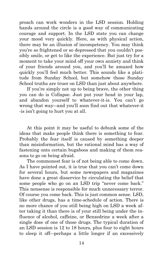proach can work wonders in the LSD session. Holding hands around the circle is a good way of communicating courage and support. In the LSD state you can change your mood very quickly. Here, as with physical action, there may be an illusion of incompetency. You may think you're so frightened or so depressed that you couldn't possibly smile, or get to like the experience. But just try for a moment to take your mind off your own anxiety and think of your friends around you, and you'll be amazed how quickly you'll feel much better. This sounds like a platitude from Sunday School, but somehow those Sunday School truths are truer on LSD than just about anywhere.

If you're simply not up to being brave, the other thing you can do is Collapse. Just put your head in your lap, and abandon yourself to whatever-it-is. You can't go wrong that way—and you'll soon find out that whatever-it -is isn't going to hurt you at all.

At this point it may be useful to debunk some of the ideas that make people think there is something to fear. Probably the fear itself is caused by something deeper than misinformation, but the rational mind has a way of fastening onto certain bugaboos and making of them reasons to go on being afraid.

The commonest fear is of not being able to come down. As I have pointed out, it is true that you can't come down for several hours, but some newspapers and magazines have done a great disservice by circulating the belief that some people who go on an LSD trip "never come back." This nonsense is responsible for much unnecessary terror. Of course you come back. This is just common sense. LSD, like other drugs, has a time-schedule of action. There is no more chance of you still being high on LSD a week after taking it than there is of your still being under the influence of alcohol, caffeine, or Benzedrine a week after a single dose of one of those drugs. The typical duration of an LSD session is 12 to 18 hours, plus four to eight hours to sleep it off—perhaps a little longer if an excessively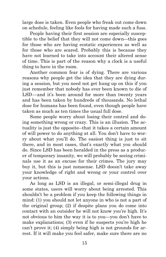large dose is taken. Even people who freak out come down on schedule, feeling like fools for having made such a fuss.

People having their first session are especially susceptible to the belief that they will not come down —this goes for those who are having ecstatic experiences as well as for those who are scared. Probably this is because they have not learned to take into account their altered sense of time. This is part of the reason why a clock is a useful thing to have in the room.

Another common fear is of dying. There are various reasons why people get the idea that they are dying during a session, but you need not get hung up on this if you just remember that nobody has ever been known to die of LSD—and it's been around for more than twenty years and has been taken by hundreds of thousands. No lethal dose for humans has been found, even though people have taken as much as ten times the usual full dose.

Some people worry about losing their control and doing something wrong or crazy. This is an illusion. The actuality is just the opposite —that it takes a certain amount of will power to do anything at all. You don't have to worry about what you'll do. The easiest thing is just to sit there, and in most cases, that's exactly what you should do. Since LSD has been heralded in the press as a producer of temporary insanity, we will probably be seeing criminals use it as an excuse for their crimes. The jury may buy it, but this is just nonsense. LSD doesn't take away your knowledge of right and wrong or your control over your actions.

As long as LSD is an illegal, or semi-illegal drug in some states, users will worry about being arrested. This shouldn't be a problem if you keep the following things in mind: (1) you should not let anyone in who is not a part of the original group; (2) if despite plans you do come into contact with an outsider he will not know you're high. It's not obvious to him the way it is to you —you don't have to make explanations; (3) even if he suspects you're high he can't prove it; (4) simply being high is not grounds for arrest. If it will make you feel safer, make sure there are no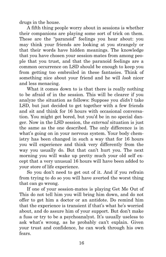drugs in the house.

A fifth thing people worry about in sessions is whether their companions are playing some sort of trick on them. These are the "paranoid" feelings you hear about: you may think your friends are looking at you strangely or that their words have hidden meanings. The knowledge that you have chosen your session-mates from among people that you trust, and that the paranoid feelings are a common occurrence on LSD should be enough to keep you from getting too embroiled in these fantasies. Think of something nice about your friend and he will *look* nicer and less menacing.

What it comes down to is that there is really nothing to be afraid of in the session. This will be clearer if you analyze the situation as follows: Suppose you *didn't* take LSD, but just decided to get together with a few friends and sit and think for 16 hours with occasional conversation. You might get bored, but you'd be in no special danger. Now in the LSD session, the *external* situation is just the same as the one described. The only difference is in what's going on in your nervous system. Your body chemistry has been changed in such a way that for 16 hours you will experience and think very differently from the way you usually do. But that can't hurt you. The next morning you will wake up pretty much your old self except that a very unusual 16 hours will have been added to your store of life experience.

So you don't need to get out of it. And if you refrain from trying to do so you will have averted the worst thing that can go wrong.

If one of your session-mates is playing Get Me Out of This do not tell him you will bring him down, and do not offer to get him a doctor or an antidote. Do remind him that the experience is transient if that's what he's worried about, and do assure him of your support. But don't make a fuss or try to be a psychoanalyst. It's usually useless to ask what's wrong, as he probably can't explain. Given your trust and confidence, he can work through his own fears.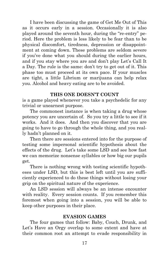I have been discussing the game of Get Me Out of This as it occurs early in a session. Occasionally it is also played around the seventh hour, during the "re-entry" period. Here the problem is less likely to be fear than to be physical discomfort, tiredness, depression or disappointment at coming down. These problems are seldom severe if you've done what you should during the earlier hours, and if you stay where you are and don't play Let's Call It a Day. The rule is the same: don't try to get out of it. This phase too must proceed at its own pace. If your muscles are tight, a little Librium or marijuana can help relax you. Alcohol and heavy eating are to be avoided.

#### **THIS ONE DOESN'T COUNT**

is a game played whenever you take a psychedelic for any trivial or unearnest purpose.

The commonest instance is when taking a drug whose potency you are uncertain of. So you try a little to see if it works. And it does. And then you discover that you are going to have to go through the whole thing, and you really hadn't planned on it.

Then there are sessions entered into for the purpose of testing some impersonal scientific hypothesis about the effects of the drug. Let's take some LSD and see how fast we can memorize nonsense syllables or how big our pupils get.

There is nothing wrong with testing scientific hypotheses under LSD, but this is best left until you are sufficiently experienced to do these things without losing your grip on the spiritual nature of the experience.

An LSD session will always be an intense encounter with reality. Every session counts. If you remember this foremost when going into a session, you will be able to keep other purposes in their place.

#### **EVASION GAMES**

The four games that follow: Baby, Couch, Drunk, and Let's Have an Orgy overlap to some extent and have at their common root an attempt to evade responsibility in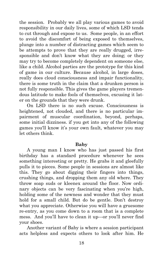the session. Probably we all play various games to avoid responsibility in our daily lives, some of which LSD tends to cut through and expose to us. Some people, in an effort to avoid the discomfort of being exposed to themselves, plunge into a number of distracting games which seem to be attempts to prove that they are really drugged, irresponsible and don't know what they are doing; or they may try to become completely dependent on someone else, like a child. Alcohol parties are the prototype for this kind of game in our culture. Because alcohol, in large doses, really does cloud consciousness and impair functionality, there is some truth in the claim that a drunken person is not fully responsible. This gives the game players tremendous latitude to make fools of themselves, excusing it later on the grounds that they were drunk.

On LSD there is no such excuse. Consciousness is heightened, not clouded, and there is no particular impairment of muscular coordination, beyond, perhaps, some initial dizziness. if you get into any of the following games you'll know it's your own fault, whatever you may let others think.

#### **Baby**

A young man I know who has just passed his first birthday has a standard procedure whenever he sees something interesting or pretty. He grabs it and gleefully pulls it to pieces. Some people in sessions are almost like this. They go about digging their fingers into things, crushing things, and dropping them any old where. They throw soap suds or kleenex around the floor. Now ordinary objects can be very fascinating when you're high, holding some of the newness and wonder that they must hold for a small child. But do be gentle. Don't destroy what you appreciate. Otherwise you will have a gruesome re-entry, as you come down to a room that is a complete mess. And you'll have to clean it up—or you'll never find your shoes.

Another variant of Baby is where a session participant acts helpless and expects others to look after him. He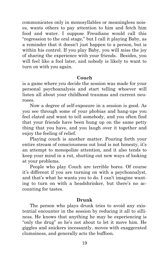communicates only in monosyllables or meaningless noises, wants others to pay attention to him and fetch him food and water. I suppose Freudians would call this "regression to the oral stage," but I call it playing Baby, as a reminder that it doesn't just happen to a person, but is within his control. If you play Baby, you will miss the joy of sharing the experience with your friends. Besides, you will feel like a fool later, and nobody is likely to want to turn on with you again.

#### **Couch**

is a game where you decide the session was made for your personal psychoanalysis and start telling whoever will listen all about your childhood traumas and current neuroses.

Now a degree of self-exposure in a session is good. As you see through some of your phobias and hang-ups you feel elated and want to tell somebody, and you often find that your friends have been hung up on the same petty thing that you have, and you laugh over it together and enjoy the feeling of relief.

Playing couch is another matter. Pouring forth your entire stream of consciousness out loud is not honesty, it's an attempt to monopolize attention, and it also tends to keep your mind in a rut, shutting out new ways of looking at your problems.

People who play Couch are terrible bores. Of course it's different if you are turning on with a psychoanalyst, and that's what he wants you to do. I can't imagine wanting to turn on with a headshrinker, but there's no accounting for tastes.

#### **Drunk**

The person who plays drunk tries to avoid any existential encounter in the session by reducing it all to silliness. He knows that anything he may be experiencing is "only the drug" so he's not about to let it move him. He giggles and snickers incessantly, moves with exaggerated clumsiness, and generally acts the buffoon.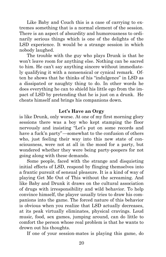Like Baby and Couch this is a case of carrying to extremes something that is a normal element of the session. There is an aspect of absurdity and humorousness to ordinarily serious things which is one of the delights of the LSD experience. It would be a strange session in which nobody laughed.

The trouble with the guy who plays Drunk is that he won't leave room for anything else. Nothing can be sacred to him. He can't say anything sincere without immediately qualifying it with a nonsensical or cynical remark. Often he shows that he thinks of his "indulgence" in LSD as a dissipated or naughty thing to do. In other words he does everything he can to shield his little ego from the impact of LSD by pretending that he is just on a drunk. He cheats himself and brings his companions down.

#### **Let's Have an Orgy**

is like Drunk, only worse. At one of my first morning glory sessions there was a boy who kept stamping the floor nervously and insisting "Let's put on some records and have a fuck'n party"—somewhat to the confusion of others who, just feeling their way into this new state of consciousness, were not at all in the mood for a party, but wondered whether they were being party-poopers for not going along with these demands.

Some people, faced with the strange and disquieting initial effects of LSD, respond by flinging themselves into a frantic pursuit of sensual pleasure. It is a kind of way of playing Get Me Out of This without the screaming. And like Baby and Drunk it draws on the cultural association of drugs with irresponsibility and wild behavior. To help convince himself, the player usually tries to draw his companions into the game. The forced nature of this behavior is obvious when you realize that LSD actually decreases, at its peak virtually eliminates, physical cravings. Loud music, food, sex games, jumping around, can do little to comfort the person whose real problem is that he wants to drown out his thoughts.

If one of your session-mates is playing this game, do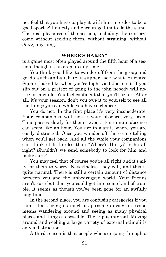not feel that you have to play it with him in order to be a good sport. Sit quietly and encourage him to do the same. The real pleasures of the session, including the sensory, come without seeking them, without straining, without *doing* anything.

#### **WHERE'S HARRY?**

is a game most often played around the fifth hour of a session, though it can crop up any time.

You think you'd like to wander off from the group and go do such-and-such (eat supper, see what Harvard Square looks like when you're high, visit Joe, etc.). If you slip out on a pretext of going to the john nobody will notice for a while. You feel confident that you'll be o.k. After all, it's your session, don't you owe it to yourself to see all the things you can while you have a chance?

You do not. In the first place it's very inconsiderate. Your companions will notice your absence very soon. Time passes slowly for them—even a ten minute absence can seem like an hour. You are in a state where you are easily distracted. Once you wander off there's no telling when you'll get back. And all the while your companions can think of little else than "Where's Harry? Is he all right? Shouldn't we send somebody to look for him and make sure?"

You may feel that of course you're all right and it's silly for them to worry. Nevertheless they will, and this is quite natural. There is still a certain amount of distance between you and the unbedrugged world. Your friends aren't sure but that you could get into some kind of trouble. It seems as though you've been gone for an awfully long time.

In the second place, you are confusing categories if you think that seeing as much as possible during a session means wandering around and seeing as many physical places and things as possible. The trip is internal. Moving around and seeking a large variety of external stimuli is only a distraction.

A third reason is that people who are going through a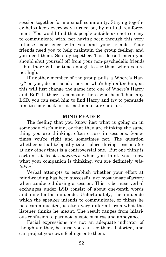session together form a small community. Staying together helps keep everybody turned on, by mutual reinforcement. You would find that people outside are not so easy to communicate with, not having been through this very intense experience with you and your friends. Your friends need you to help maintain the group feeling, and you need them. So stay together. This doesn't mean you should shut yourself off from your non-psychedelic friends —but there will be time enough to see them when you're not high.

If another member of the group pulls a Where's Harry? on you, do not send a person who's high after him, as this will just change the game into one of Where's Harry and Bill? If there is someone there who hasn't had any LSD, you can send him to find Harry and try to persuade him to come back, or at least make sure he's o.k.

#### **MIND READER**

The feeling that you know just what is going on in somebody else's mind, or that they are thinking the same thing you are thinking, often occurs in sessions. Sometimes you're right and sometimes not. The question whether actual telepathy takes place during sessions (or at any other time) is a controversial one. But one thing is certain: at least *sometimes* when you think you know what your companion is thinking, you are definitely *mistaken.*

Verbal attempts to establish whether your effort at mind-reading has been successful are most unsatisfactory when conducted during a session. This is because verbal exchanges under LSD consist of about one-tenth words and nine-tenths innuendo. Unfortunately, the innuendo which the speaker intends to communicate, or things he has communicated, is often very different from what the listener thinks he meant. The result ranges from hilarious confusion to paranoid suspiciousness and annoyance.

Facial expressions are not an adequate indicator of thoughts either, because you can see them distorted, and can project your own feelings onto them.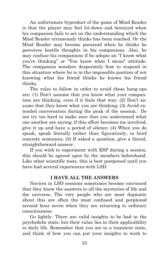An unfortunate byproduct of the game of Mind Reader is that the player may feel let-down and betrayed when his companion fails to act on the understanding which the Mind Reader erroneously thinks has been reached. Or the Mind Reader may become paranoid when he thinks he perceives hostile thoughts in his companions. Also, he may confuse his companions if he adopts an "I know what you're thinking" or "You know what I mean" attitude. The companion wonders desperately how to respond in this situation where he is in the impossible position of not knowing what his friend thinks he knows his friend thinks.

The rules to follow in order to avoid these hang-ups are: (1) Don't assume that you know what your companions are thinking, even if it feels that way; (2) Don't assume that they know what you are thinking; (3) Avoid extended conversation during the peak of the session. Do not try too hard to make sure that you understand what one another are saying; if this effort becomes too involved, give it up and have a period of silence; (4) When you do speak, speak literally rather than figuratively, in brief concrete sentences; (5) If asked a question, give a literal, straightforward answer.

If you wish to experiment with ESP during a session, this should be agreed upon by the members beforehand. Like other scientific tests, this is best postponed until you have had several experiences with LSD.

#### **I HAVE ALL THE ANSWERS**

Novices in LSD sessions sometimes become convinced that they know the answers to all the mysteries of life and the universe. The very people who are most dogmatic about this are often the most confused and perplexed around hour seven when they are returning to ordinary consciousness.

Go lightly. There are valid insights to be had in the psychedelic state, but their value lies in their applicability to daily life. Remember that you are in a transient state, and think of how you can put your insights to work to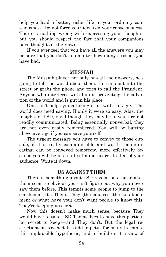help you lead a better, richer life in your ordinary consciousness. Do not force your ideas on your consciousness. There is nothing wrong with expressing your thoughts, but you should respect the fact that your companions have thoughts of their own.

If you ever feel that you have all the answers you may be sure that you don't—no matter how many sessions you have had.

#### **MESSIAH**

The Messiah player not only has all the answers, he's going to tell the world about them. He runs out into the street or grabs the phone and tries to call the President. Anyone who interferes with him is preventing the salvation of the world and is put in his place.

One can't help sympathizing a bit with this guy. The world does need saving. If only it were so easy. Alas, the insights of LSD, vivid though they may be to you, are not readily communicated. Being essentially nonverbal, they are not even easily remembered. You will be batting above average if you can save yourself.

The urgent message you have to convey to those outside, if it is really communicable and worth communicating, can be conveyed tomorrow, more effectively because you will be in a state of mind nearer to that of your audience. Write it down.

#### **US AGAINST THEM**

There is something about LSD revelations that makes them seem so obvious you can't figure out why you never saw them before. This tempts some people to jump to the conclusion: It's Them. They (the squares, the Establishment or what have you) don't want people to know this. They're keeping it secret.

Now this doesn't make much sense, because They would have to take LSD Themselves to have this particular secret to keep—and They don't. But the legal restrictions on psychedelics add impetus for many to leap to this implausible hypothesis, and to build on it a view of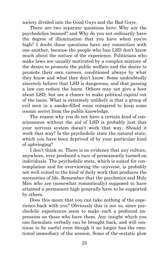society divided into the Good Guys and the Bad Guys.

There are two separate questions here: Why are the psychedelics banned? and Why do you not ordinarily have the degree of illumination that you have when you're high? I doubt these questions have any connection with one another, because the people who ban LSD don't know much about the nature of the experience. Politicians who make laws are usually motivated by a complex mixture of the desire to promote the public welfare and the desire to promote their own careers, conditioned always by what they know and what they don't know. Some undoubtedly sincerely believe that LSD is dangerous, and that passing a law can reduce the harm. Others may not give a hoot about LSD, but see a chance to make political capital out of the issue. What is extremely unlikely is that a group of evil men in a smoke-filled room conspired to keep some cosmic secret from the public knowledge.

The reason why you do not have a certain kind of consciousness without the aid of LSD is probably just that your nervous system doesn't work that way. *Should* it work that way? Is the psychedelic state the natural state, which you have been deprived of by your particular kind of upbringing?

I don't think so. There is no evidence that any culture, anywhere, ever produced a race of permanently turned-on individuals. The psychedelic state, which is suited for contemplation and for overviewing the universe, is probably not well suited to the kind of daily work that produces the necessities of life. Remember that the psychotics and Holy Men who are (somewhat romantically) supposed to have attained a permanent high generally have to be supported by others.

Does this mean that you can take nothing of the experience back with you? Obviously this is not so, since psychedelic experiences seem to make such a profound impression on those who have them. Any insight which you can formulate verbally can be brought back, and will continue to be useful even though it no longer has the emotional immediacy of the session. Some of the ecstatic glow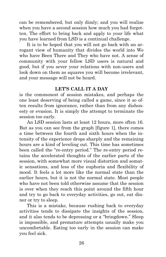can be remembered, but only dimly; and you will realize when you have a second session how much you had forgotten. The effort to bring back and apply to your life what you have learned from LSD is a continual challenge.

It is to be hoped that you will not go back with an arrogant view of humanity that divides the world into We who have Been There and They who have not. A sense of community with your fellow LSD users is natural and good, but if you sever your relations with non-users and look down on them as squares you will become irrelevant, and your message will not be heard.

#### **LET'S CALL IT A DAY**

is the commonest of session mistakes, and perhaps the one least deserving of being called a game, since it so often results from ignorance, rather than from any dishonesty or evasion. It is simply the attempt to terminate the session too early.

An LSD session lasts at least 12 hours, more often 16. But as you can see from the graph [figure 1], there comes a time between the fourth and sixth hours when the intensity of the experience drops sharply and the remaining hours are a kind of leveling out. This time has sometimes been called the "re-entry period." The re-entry period retains the accelerated thoughts of the earlier parts of the session, with somewhat more visual distortion and somatic sensations, and less of the euphoria and flexibility of mood. It feels a lot more like the normal state than the earlier hours, but it is not the normal state. Most people who have not been told otherwise assume that the session is over when they reach this point around the fifth hour and try to go back to everyday activities, go out, eat dinner or try to sleep.

This is a mistake, because rushing back to everyday activities tends to dissipate the insights of the session, and it also tends to be depressing or a "bringdown." Sleep is impossible, and premature attempts usually make you uncomfortable. Eating too early in the session can make you feel sick.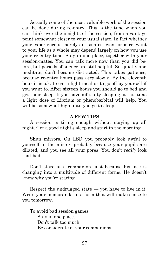Actually some of the most valuable work of the session can be done during re-entry. This is the time when you can think over the insights of the session, from a vantage point somewhat closer to your usual state. In fact whether your experience is merely an isolated event or is relevant to your life as a whole may depend largely on how you use your re-entry time. Stay in one place, together with your session-mates. You can talk more now than you did before, but periods of silence are still helpful. Sit quietly and meditate; don't become distracted. This takes patience, because re-entry hours pass *very* slowly. By the eleventh hour it is o.k. to eat a light meal or to go off by yourself if you want to. After sixteen hours you should go to bed and get some sleep. If you have difficulty sleeping at this time a light dose of Librium or phenobarbital will help. You will be somewhat high until you go to sleep.

#### **A FEW TIPS**

A session is tiring enough without staying up all night. Get a good night's sleep and start in the morning.

Shun mirrors. On LSD you probably look awful to yourself in the mirror, probably because your pupils are dilated, and you see all your pores. You don't *really* look that bad.

Don't stare at a companion, just because his face is changing into a multitude of different forms. He doesn't know why you're staring.

Respect the undrugged state — you have to live in it. Write your memoranda in a form that will make sense to you tomorrow.

To avoid bad session games: Stay in one place. Don't talk too much. Be considerate of your companions.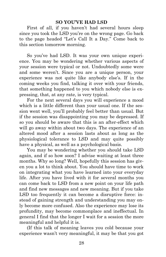#### **SO YOU'VE HAD LSD**

First of all, if you haven't had several hours sleep since you took the LSD you're on the wrong page. Go back to the page headed "Let's Call It a Day." Come back to this section tomorrow morning.

So you've had LSD. It was your own unique experience. You may be wondering whether various aspects of your session were typical or not. Undoubtedly some were and some weren't. Since you are a unique person, your experience was not quite like anybody else's. If in the coming weeks you find, talking it over with your friends, that something happened to you which nobody else is expressing, that, at any rate, is very typical.

For the next several days you will experience a mood which is a little different than your usual one. If the session went well, you'll probably feel better than usual. But if the session was disappointing you may be depressed. If so you should be aware that this is an after-effect which will go away within about two days. The experience of an altered mood after a session lasts about as long as the physiological tolerance to LSD and may quite possibly have a physical, as well as a psychological basis.

You may be wondering whether you should take LSD again, and if so how soon? I advise waiting at least three months. Why so long? Well, hopefully this session has given you a lot to think about. You should have time to work on integrating what you have learned into your everyday life. After you have lived with it for several months you can come back to LSD from a new point on your life path and find new messages and new meaning. But if you take LSD too frequently it can become a disruptive force: instead of gaining strength and understanding you may only become more confused. Also the experience may lose its profundity, may become commonplace and ineffectual. In general I find that the longer I wait for a session the more meaningful and helpful it is.

(If this talk of meaning leaves you cold because your experience wasn't very meaningful, it may be that you got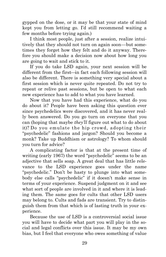gypped on the dose, or it may be that your state of mind kept you from letting go. I'd still recommend waiting a few months before trying again.)

I think most people, just after a session, realize intuitively that they should not turn on again soon—but sometimes they forget how they felt and do it anyway. Therefore you should make a decision now about how long you are going to wait and stick to it.

If you do take LSD again, your next session will be different from the first—in fact each following session will also be different. There is something very special about a first session which is never quite repeated. Do not try to repeat or relive past sessions, but be open to what each new experience has to add to what you have learned.

Now that you have had this experience, what do you do about it? People have been asking this question ever since psychedelics were discovered, and it has never really been answered. Do you go turn on everyone that you can (hoping that maybe *they'll* figure out what to do about it)? Do you emulate the hip crowd, adopting their "psychedelic" fashions and jargon? Should you become a monk? Take up Buddhism or astrology? To whom should you turn for advice?

A complicating factor is that at the present time of writing (early 1967) the word "psychedelic" seems to be an adjective that sells soap. A great deal that has little relevance to the LSD experience goes under the name "psychedelic." Don't be hasty to plunge into what somebody else calls "psychedelic" if it doesn't make sense in terms of your experience. Suspend judgment on it and see what sort of people are involved in it and where it is leading them. The same goes for cults that other LSD users may belong to. Cults and fads are transient. Try to distinguish them from that which is of lasting truth in your experience.

Because the use of LSD is a controversial social issue you will have to decide what part you will play in the social and legal conflicts over this issue. It may be my own bias, but I feel that everyone who owes something of value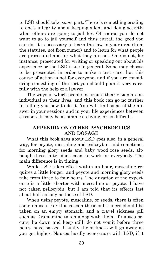to LSD should take *some* part. There is something eroding to one's integrity about keeping silent and doing secretly what others are going to jail for. Of course you do not want to go to jail yourself and thus curtail the good you can do. It is necessary to learn the law in your area (from the statutes, not from rumor) and to learn for what people are prosecuted and for what they are not. One is not, for instance, prosecuted for writing or speaking out about his experience or the LSD issue in general. Some may choose to be prosecuted in order to make a test case, but this course of action is not for everyone, and if you are considering something of the sort you should plan it very carefully with the help of a lawyer.

The ways in which people incarnate their vision are as individual as their lives, and this book can go no further in telling you how to do it. You will find some of the answer in your sessions and in your life experiences between sessions. It may be as simple as living, or as difficult.

#### **APPENDIX ON OTHER PSYCHEDELICS AND DOSAGE**

What this book says about LSD goes also, in a general way, for peyote, mescaline and psilocybin, and sometimes for morning glory seeds and baby wood rose seeds, although these latter don't seem to work for everybody. The main difference is in timing.

While LSD takes effect within an hour, mescaline requires a little longer, and peyote and morning glory seeds take from three to four hours. The duration of the experience is a little shorter with mescaline or peyote. I have not taken psilocybin, but I am told that its effects last about half as long as those of LSD.

When using peyote, mescaline, or seeds, there is often some nausea. For this reason these substances should be taken on an empty stomach, and a travel sickness pill such as Dramamine taken along with them. If nausea occurs, lie down and keep still; do not vomit before three hours have passed. Usually the sickness will go away as you get higher. Nausea hardly ever occurs with LSD; if it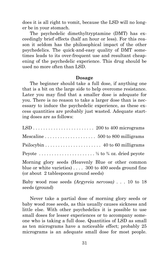does it is all right to vomit, because the LSD will no longer be in your stomach.

The psychedelic dimethyltryptamine (DMT) has exceedingly brief effects (half an hour or less). For this reason it seldom has the philosophical impact of the other psychedelics. The quick-and-easy quality of DMT sometimes leads to its over-frequent use and resultant cheapening of the psychedelic experience. This drug should be used no more often than LSD.

#### **Dosage**

The beginner should take a full dose, if anything one that is a bit on the large side to help overcome resistance. Later you may find that a smaller dose is adequate for you. There is no reason to take a larger dose than is necessary to induce the psychedelic experience, as these excess quantities are probably just wasted. Adequate starting doses are as follows:

| $\text{Psilocybin} \ldots \ldots \ldots \ldots \ldots \ldots \ldots$ 40 to 60 milligrams |  |
|------------------------------------------------------------------------------------------|--|
| Peyote $\ldots$ ½ to ¾ oz. dried peyote                                                  |  |
| Morning glory seeds (Heavenly Blue or other common                                       |  |

blue or white varieties) . . . . 300 to 400 seeds ground fine (or about 2 tablespoons ground seeds)

Baby wood rose seeds *(Argyreia nervosa)* . . . 10 to 18 seeds (ground)

Never take a partial dose of morning glory seeds or baby wood rose seeds, as this usually causes sickness and little else. With other psychedelics it is possible to use small doses for lesser experiences or to accompany someone who is taking a full dose. Quantities of LSD as small as ten micrograms have a noticeable effect; probably 25 micrograms is an adequate small dose for most people.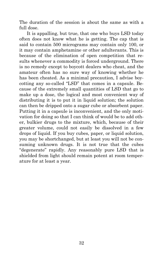The duration of the session is about the same as with a full dose.

It is appalling, but true, that one who buys LSD today often does not know what he is getting. The cap that is said to contain 500 micrograms may contain only 100, or it may contain amphetamine or other adulterants. This is because of the elimination of open competition that results whenever a commodity is forced underground. There is no remedy except to boycott dealers who cheat, and the amateur often has no sure way of knowing whether he has been cheated. As a minimal precaution, I advise boycotting any so-called "LSD" that comes in a capsule. Because of the extremely small quantities of LSD that go to make up a dose, the logical and most convenient way of distributing it is to put it in liquid solution; the solution can then be dripped onto a sugar cube or absorbent paper. Putting it in a capsule is inconvenient, and the only motivation for doing so that I can think of would be to add other, bulkier drugs to the mixture, which, because of their greater volume, could not easily be dissolved in a few drops of liquid. If you buy cubes, paper, or liquid solution, you may be shortchanged, but at least you will not be consuming unknown drugs. It is not true that the cubes "degenerate" rapidly. Any reasonably pure LSD that is shielded from light should remain potent at room temperature for at least a year.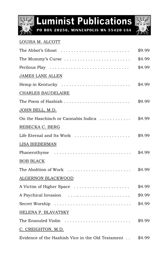

**Luminist Publications** 

**PO BOX 20256, MINNEAPOLIS MN 55420 USA**



#### LOUISA M. ALCOTT

| The Abbot's Ghost $\dots\dots\dots\dots\dots\dots\dots\dots\dots\dots$ | \$9.99 |
|------------------------------------------------------------------------|--------|
| The Mummy's Curse $\dots\dots\dots\dots\dots\dots\dots\dots\dots$      | \$4.99 |
| Perilous Play                                                          | \$4.99 |
| JAMES LANE ALLEN                                                       |        |
| Hemp in Kentucky                                                       | \$4.99 |
| <b>CHARLES BAUDELAIRE</b>                                              |        |
|                                                                        | \$9.99 |
| <u>JOHN BELL, M.D.</u>                                                 |        |
| On the Haschisch or Cannabis Indica                                    | \$4.99 |
| REBECKA C. BERG                                                        |        |
| Life Eternal and Its Work                                              | \$9.99 |
| <b>LISA BIEBERMAN</b>                                                  |        |
| Phanerothyme                                                           | \$4.99 |
| <b>BOB BLACK</b>                                                       |        |
| The Abolition of Work                                                  | \$4.99 |
| <b>ALGERNON BLACKWOOD</b>                                              |        |
| A Victim of Higher Space                                               | \$4.99 |
| A Psychical Invasion                                                   | \$9.99 |
|                                                                        | \$4.99 |
| <b>HELENA P. BLAVATSKY</b>                                             |        |
| The Ensouled Violin                                                    | \$9.99 |
| C. CREIGHTON, M.D.                                                     |        |
| Evidence of the Hashish Vice in the Old Testament                      | \$4.99 |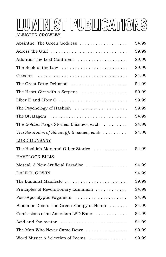### LUMINIST PUBLICATIONS ALEISTER CROWLEY

| Absinthe: The Green Goddess                                             | \$4.99 |
|-------------------------------------------------------------------------|--------|
| Across the Gulf                                                         | \$9.99 |
| Atlantis: The Lost Continent                                            | \$9.99 |
| The Book of the Law $\dots\dots\dots\dots\dots\dots\dots\dots\dots$     | \$9.99 |
| Cocaine                                                                 | \$4.99 |
| The Great Drug Delusion $\ldots \ldots \ldots \ldots \ldots$            | \$4.99 |
| The Heart Girt with a Serpent $\ldots \ldots \ldots \ldots$             | \$9.99 |
| Liber E and Liber O                                                     | \$9.99 |
| The Psychology of Hashish                                               | \$9.99 |
| The Stratagem $\ldots \ldots \ldots \ldots \ldots \ldots \ldots \ldots$ | \$4.99 |
| The Golden Twigs Stories: 6 issues, each $\ldots \ldots$                | \$4.99 |
| The Scrutinies of Simon Iff: 6 issues, each                             | \$4.99 |
| LORD DUNSANY                                                            |        |
| The Hashish Man and Other Stories                                       | \$4.99 |
| <b>HAVELOCK ELLIS</b>                                                   |        |
| Mescal: A New Artificial Paradise                                       | \$4.99 |
| DALE R. GOWIN                                                           | \$4.99 |
| The Luminist Manifesto                                                  | \$9.99 |
| Principles of Revolutionary Luminism                                    | \$4.99 |
| Post-Apocalyptic Paganism                                               | \$4.99 |
| Bloom or Doom: The Green Energy of Hemp                                 | \$4.99 |
| Confessions of an Amerikan LSD Eater                                    | \$4.99 |
| Acid and the Avatar                                                     | \$4.99 |
| The Man Who Never Came Down                                             | \$9.99 |
| Word Music: A Selection of Poems                                        | \$9.99 |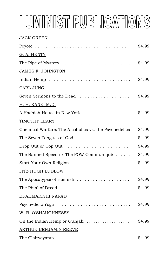# LUMINIST PUBLICATIONS

#### JACK GREEN

|                                                                       | \$4.99 |
|-----------------------------------------------------------------------|--------|
| G. A. HENTY                                                           |        |
| The Pipe of Mystery $\dots \dots \dots \dots \dots \dots \dots \dots$ | \$4.99 |
| <b>JAMES F. JOHNSTON</b>                                              |        |
|                                                                       | \$4.99 |
| CARL JUNG                                                             |        |
| Seven Sermons to the Dead                                             | \$4.99 |
| H. H. KANE, M.D.                                                      |        |
| A Hashish House in New York                                           | \$4.99 |
| TIMOTHY LEARY                                                         |        |
| Chemical Warfare: The Alcoholics vs. the Psychedelics                 | \$4.99 |
| The Seven Tongues of God $\ldots \ldots \ldots \ldots \ldots$         | \$4.99 |
| Drop Out or Cop Out $\dots\dots\dots\dots\dots\dots\dots\dots\dots$   | \$4.99 |
| The Banned Speech / The POW Communiqué                                | \$4.99 |
| Start Your Own Religion                                               | \$4.99 |
| FITZ HUGH LUDLOW                                                      |        |
| The Apocalypse of Hashish                                             | \$4.99 |
| The Phial of Dread                                                    | \$4.99 |
| BRAHMARISHI NARAD                                                     |        |
|                                                                       | \$4.99 |
| W. B. O'SHAUGHNESSY                                                   |        |
| On the Indian Hemp or Gunjah                                          | \$4.99 |
| ARTHUR BENJAMIN REEVE                                                 |        |
| The Clairvoyants                                                      | \$4.99 |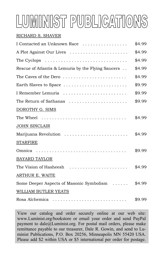## LUMINIST PUBLICATIONS

#### RICHARD S. SHAVER

| I Contacted an Unknown Race                        | \$4.99 |
|----------------------------------------------------|--------|
| A Plot Against Our Lives                           | \$4.99 |
|                                                    | \$4.99 |
| Rescue of Atlantis & Lemuria by the Flying Saucers | \$4.99 |
| The Caves of the Dero                              | \$4.99 |
| Earth Slaves to Space                              | \$9.99 |
| I Remember Lemuria                                 | \$9.99 |
| The Return of Sathanas                             | \$9.99 |
| DOROTHY G. SIMS                                    |        |
| The Wheel                                          | \$4.99 |
| <b>JOHN SINCLAIR</b>                               |        |
| Marijuana Revolution                               | \$4.99 |
| <b>STARFIRE</b>                                    |        |
|                                                    | \$9.99 |
| <b>BAYARD TAYLOR</b>                               |        |
| The Vision of Hasheesh                             | \$4.99 |
| ARTHUR E. WAITE                                    |        |
| Some Deeper Aspects of Masonic Symbolism           | \$4.99 |
| <b>WILLIAM BUTLER YEATS</b>                        |        |
|                                                    | \$9.99 |

View our catalog and order securely online at our web site: www.Luminist.org/bookstore or email your order and send PayPal payment to dale@Luminist.org. For postal mail orders, please make remittance payable to our treasurer, Dale R. Gowin, and send to Luminist Publications, P.O. Box 20256, Minneapolis MN 55420 USA. Please add \$2 within USA or \$5 international per order for postage.